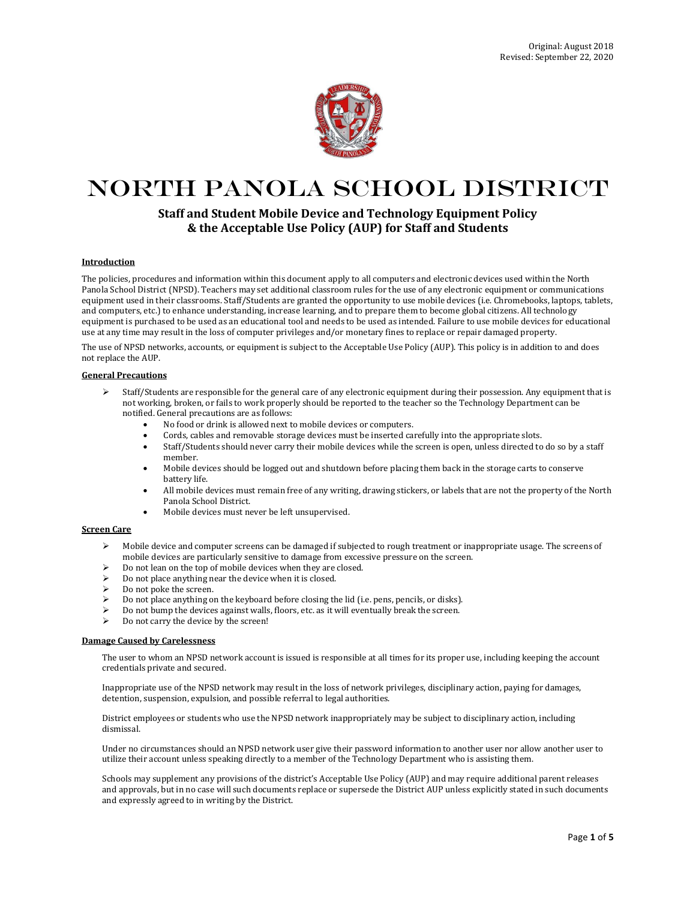

# North Panola School District

# **Staff and Student Mobile Device and Technology Equipment Policy & the Acceptable Use Policy (AUP) for Staff and Students**

#### **Introduction**

The policies, procedures and information within this document apply to all computers and electronic devices used within the North Panola School District (NPSD). Teachers may set additional classroom rules for the use of any electronic equipment or communications equipment used in their classrooms. Staff/Students are granted the opportunity to use mobile devices (i.e. Chromebooks, laptops, tablets, and computers, etc.) to enhance understanding, increase learning, and to prepare them to become global citizens. All technology equipment is purchased to be used as an educational tool and needs to be used as intended. Failure to use mobile devices for educational use at any time may result in the loss of computer privileges and/or monetary fines to replace or repair damaged property.

The use of NPSD networks, accounts, or equipment is subject to the Acceptable Use Policy (AUP). This policy is in addition to and does not replace the AUP.

## **General Precautions**

- $\triangleright$  Staff/Students are responsible for the general care of any electronic equipment during their possession. Any equipment that is not working, broken, or fails to work properly should be reported to the teacher so the Technology Department can be notified. General precautions are as follows:
	- No food or drink is allowed next to mobile devices or computers.
	- Cords, cables and removable storage devices must be inserted carefully into the appropriate slots.
	- Staff/Students should never carry their mobile devices while the screen is open, unless directed to do so by a staff member.
	- Mobile devices should be logged out and shutdown before placing them back in the storage carts to conserve battery life.
	- All mobile devices must remain free of any writing, drawing stickers, or labels that are not the property of the North Panola School District.
	- Mobile devices must never be left unsupervised.

# **Screen Care**

- Mobile device and computer screens can be damaged if subjected to rough treatment or inappropriate usage. The screens of mobile devices are particularly sensitive to damage from excessive pressure on the screen.
- Do not lean on the top of mobile devices when they are closed.
- Do not place anything near the device when it is closed.
- Do not poke the screen.
- Do not place anything on the keyboard before closing the lid (i.e. pens, pencils, or disks).
- Do not bump the devices against walls, floors, etc. as it will eventually break the screen.
- Do not carry the device by the screen!

#### **Damage Caused by Carelessness**

The user to whom an NPSD network account is issued is responsible at all times for its proper use, including keeping the account credentials private and secured.

Inappropriate use of the NPSD network may result in the loss of network privileges, disciplinary action, paying for damages, detention, suspension, expulsion, and possible referral to legal authorities.

District employees or students who use the NPSD network inappropriately may be subject to disciplinary action, including dismissal.

Under no circumstances should an NPSD network user give their password information to another user nor allow another user to utilize their account unless speaking directly to a member of the Technology Department who is assisting them.

Schools may supplement any provisions of the district's Acceptable Use Policy (AUP) and may require additional parent releases and approvals, but in no case will such documents replace or supersede the District AUP unless explicitly stated in such documents and expressly agreed to in writing by the District.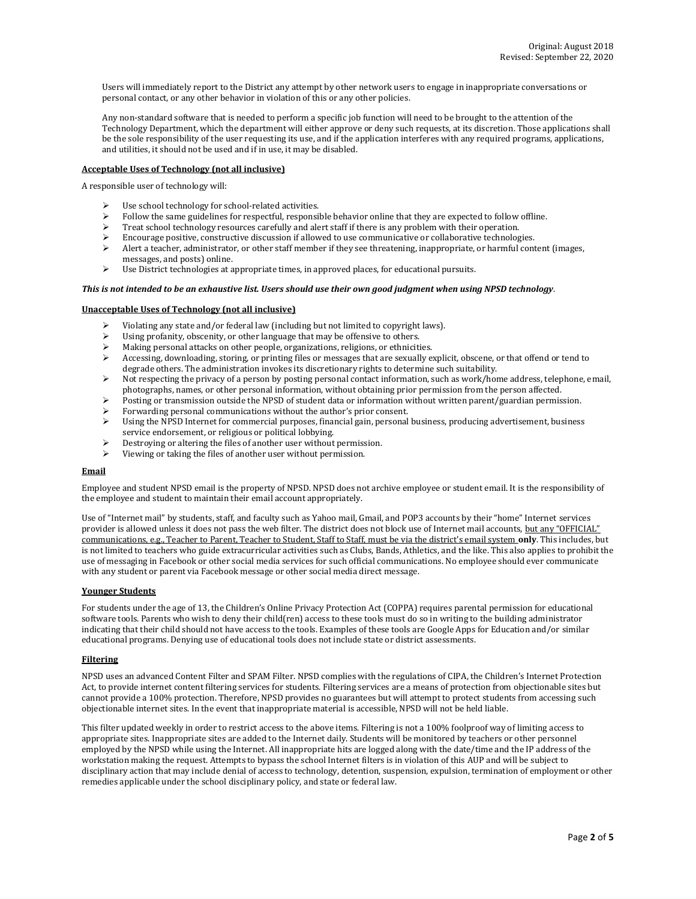Users will immediately report to the District any attempt by other network users to engage in inappropriate conversations or personal contact, or any other behavior in violation of this or any other policies.

Any non-standard software that is needed to perform a specific job function will need to be brought to the attention of the Technology Department, which the department will either approve or deny such requests, at its discretion. Those applications shall be the sole responsibility of the user requesting its use, and if the application interferes with any required programs, applications, and utilities, it should not be used and if in use, it may be disabled.

# **Acceptable Uses of Technology (not all inclusive)**

A responsible user of technology will:

- Use school technology for school-related activities.
- Follow the same guidelines for respectful, responsible behavior online that they are expected to follow offline.
- $\triangleright$  Treat school technology resources carefully and alert staff if there is any problem with their operation.
- $\triangleright$  Encourage positive, constructive discussion if allowed to use communicative or collaborative technologies.
- Alert a teacher, administrator, or other staff member if they see threatening, inappropriate, or harmful content (images, messages, and posts) online.
- $\triangleright$  Use District technologies at appropriate times, in approved places, for educational pursuits.

#### *This is not intended to be an exhaustive list. Users should use their own good judgment when using NPSD technology*.

#### **Unacceptable Uses of Technology (not all inclusive)**

- Violating any state and/or federal law (including but not limited to copyright laws).
- Using profanity, obscenity, or other language that may be offensive to others.
- $\triangleright$  Making personal attacks on other people, organizations, religions, or ethnicities.
- $\triangleright$  Accessing, downloading, storing, or printing files or messages that are sexually explicit, obscene, or that offend or tend to degrade others. The administration invokes its discretionary rights to determine such suitability.
- $\triangleright$  Not respecting the privacy of a person by posting personal contact information, such as work/home address, telephone, email, photographs, names, or other personal information, without obtaining prior permission from the person affected.
- Posting or transmission outside the NPSD of student data or information without written parent/guardian permission.
- Forwarding personal communications without the author's prior consent.
- $\triangleright$  Using the NPSD Internet for commercial purposes, financial gain, personal business, producing advertisement, business service endorsement, or religious or political lobbying.
- Destroying or altering the files of another user without permission.
- Viewing or taking the files of another user without permission.

#### **Email**

Employee and student NPSD email is the property of NPSD. NPSD does not archive employee or student email. It is the responsibility of the employee and student to maintain their email account appropriately.

Use of "Internet mail" by students, staff, and faculty such as Yahoo mail, Gmail, and POP3 accounts by their "home" Internet services provider is allowed unless it does not pass the web filter. The district does not block use of Internet mail accounts, but any "OFFICIAL" communications, e.g., Teacher to Parent, Teacher to Student, Staff to Staff, must be via the district's email system **only**. This includes, but is not limited to teachers who guide extracurricular activities such as Clubs, Bands, Athletics, and the like. This also applies to prohibit the use of messaging in Facebook or other social media services for such official communications. No employee should ever communicate with any student or parent via Facebook message or other social media direct message.

#### **Younger Students**

For students under the age of 13, the Children's Online Privacy Protection Act (COPPA) requires parental permission for educational software tools. Parents who wish to deny their child(ren) access to these tools must do so in writing to the building administrator indicating that their child should not have access to the tools. Examples of these tools are Google Apps for Education and/or similar educational programs. Denying use of educational tools does not include state or district assessments.

#### **Filtering**

NPSD uses an advanced Content Filter and SPAM Filter. NPSD complies with the regulations of CIPA, the Children's Internet Protection Act, to provide internet content filtering services for students. Filtering services are a means of protection from objectionable sites but cannot provide a 100% protection. Therefore, NPSD provides no guarantees but will attempt to protect students from accessing such objectionable internet sites. In the event that inappropriate material is accessible, NPSD will not be held liable.

This filter updated weekly in order to restrict access to the above items. Filtering is not a 100% foolproof way of limiting access to appropriate sites. Inappropriate sites are added to the Internet daily. Students will be monitored by teachers or other personnel employed by the NPSD while using the Internet. All inappropriate hits are logged along with the date/time and the IP address of the workstation making the request. Attempts to bypass the school Internet filters is in violation of this AUP and will be subject to disciplinary action that may include denial of access to technology, detention, suspension, expulsion, termination of employment or other remedies applicable under the school disciplinary policy, and state or federal law.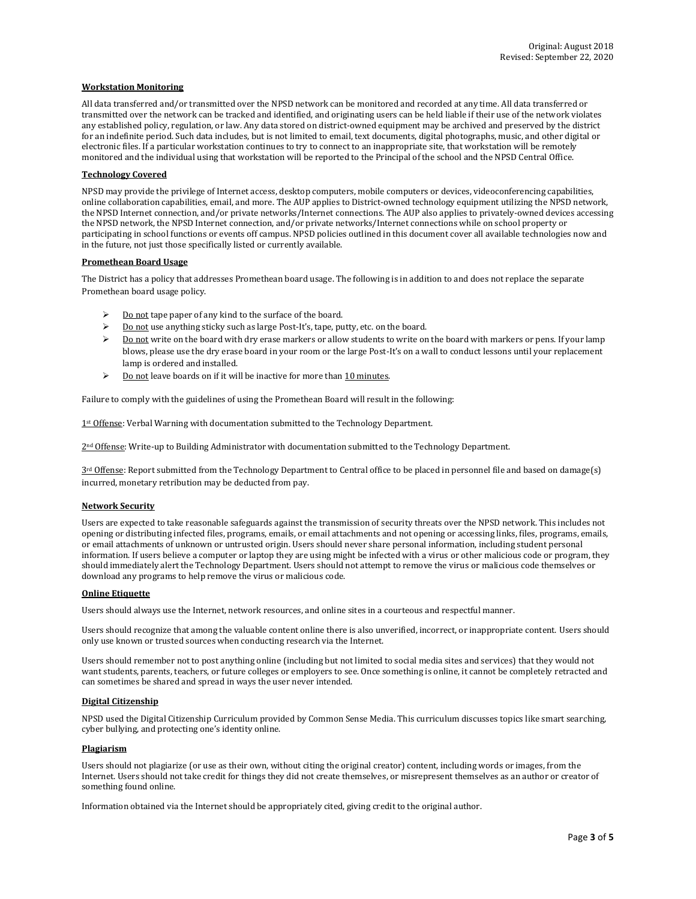#### **Workstation Monitoring**

All data transferred and/or transmitted over the NPSD network can be monitored and recorded at any time. All data transferred or transmitted over the network can be tracked and identified, and originating users can be held liable if their use of the network violates any established policy, regulation, or law. Any data stored on district-owned equipment may be archived and preserved by the district for an indefinite period. Such data includes, but is not limited to email, text documents, digital photographs, music, and other digital or electronic files. If a particular workstation continues to try to connect to an inappropriate site, that workstation will be remotely monitored and the individual using that workstation will be reported to the Principal of the school and the NPSD Central Office.

#### **Technology Covered**

NPSD may provide the privilege of Internet access, desktop computers, mobile computers or devices, videoconferencing capabilities, online collaboration capabilities, email, and more. The AUP applies to District-owned technology equipment utilizing the NPSD network, the NPSD Internet connection, and/or private networks/Internet connections. The AUP also applies to privately-owned devices accessing the NPSD network, the NPSD Internet connection, and/or private networks/Internet connections while on school property or participating in school functions or events off campus. NPSD policies outlined in this document cover all available technologies now and in the future, not just those specifically listed or currently available.

#### **Promethean Board Usage**

The District has a policy that addresses Promethean board usage. The following is in addition to and does not replace the separate Promethean board usage policy.

- $\triangleright$  Do not tape paper of any kind to the surface of the board.
- $\triangleright$  Do not use anything sticky such as large Post-It's, tape, putty, etc. on the board.
- Do not write on the board with dry erase markers or allow students to write on the board with markers or pens. If your lamp blows, please use the dry erase board in your room or the large Post-It's on a wall to conduct lessons until your replacement lamp is ordered and installed.
- $\geq$  Do not leave boards on if it will be inactive for more than 10 minutes.

Failure to comply with the guidelines of using the Promethean Board will result in the following:

1st Offense: Verbal Warning with documentation submitted to the Technology Department.

 $2<sup>nd</sup>$  Offense: Write-up to Building Administrator with documentation submitted to the Technology Department.

 $3<sup>rd</sup>$  Offense: Report submitted from the Technology Department to Central office to be placed in personnel file and based on damage(s) incurred, monetary retribution may be deducted from pay.

#### **Network Security**

Users are expected to take reasonable safeguards against the transmission of security threats over the NPSD network. This includes not opening or distributing infected files, programs, emails, or email attachments and not opening or accessing links, files, programs, emails, or email attachments of unknown or untrusted origin. Users should never share personal information, including student personal information. If users believe a computer or laptop they are using might be infected with a virus or other malicious code or program, they should immediately alert the Technology Department. Users should not attempt to remove the virus or malicious code themselves or download any programs to help remove the virus or malicious code.

## **Online Etiquette**

Users should always use the Internet, network resources, and online sites in a courteous and respectful manner.

Users should recognize that among the valuable content online there is also unverified, incorrect, or inappropriate content. Users should only use known or trusted sources when conducting research via the Internet.

Users should remember not to post anything online (including but not limited to social media sites and services) that they would not want students, parents, teachers, or future colleges or employers to see. Once something is online, it cannot be completely retracted and can sometimes be shared and spread in ways the user never intended.

#### **Digital Citizenship**

NPSD used the Digital Citizenship Curriculum provided by Common Sense Media. This curriculum discusses topics like smart searching, cyber bullying, and protecting one's identity online.

## **Plagiarism**

Users should not plagiarize (or use as their own, without citing the original creator) content, including words or images, from the Internet. Users should not take credit for things they did not create themselves, or misrepresent themselves as an author or creator of something found online.

Information obtained via the Internet should be appropriately cited, giving credit to the original author.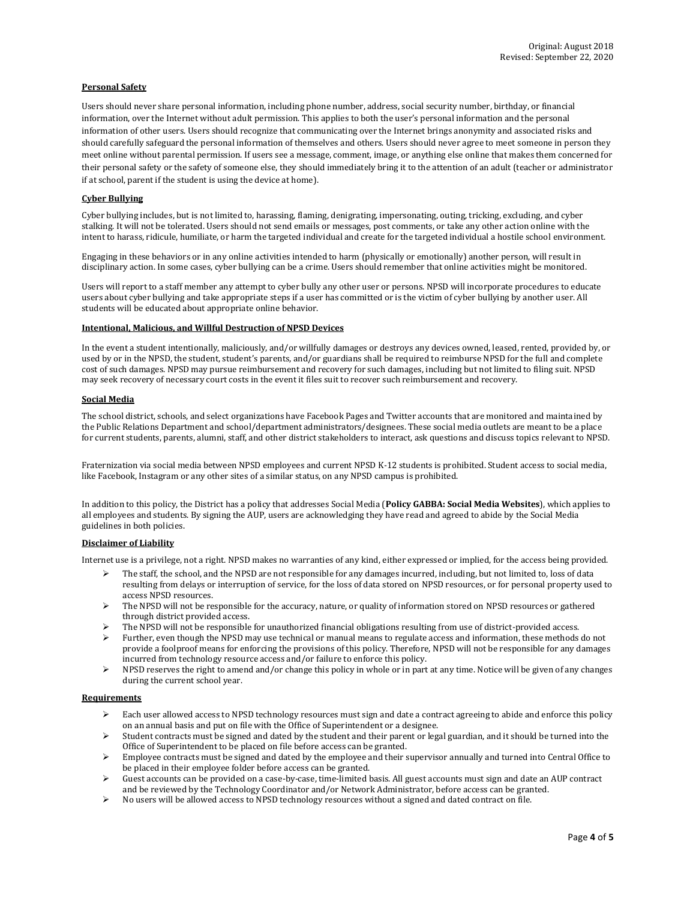# **Personal Safety**

Users should never share personal information, including phone number, address, social security number, birthday, or financial information, over the Internet without adult permission. This applies to both the user's personal information and the personal information of other users. Users should recognize that communicating over the Internet brings anonymity and associated risks and should carefully safeguard the personal information of themselves and others. Users should never agree to meet someone in person they meet online without parental permission. If users see a message, comment, image, or anything else online that makes them concerned for their personal safety or the safety of someone else, they should immediately bring it to the attention of an adult (teacher or administrator if at school, parent if the student is using the device at home).

#### **Cyber Bullying**

Cyber bullying includes, but is not limited to, harassing, flaming, denigrating, impersonating, outing, tricking, excluding, and cyber stalking. It will not be tolerated. Users should not send emails or messages, post comments, or take any other action online with the intent to harass, ridicule, humiliate, or harm the targeted individual and create for the targeted individual a hostile school environment.

Engaging in these behaviors or in any online activities intended to harm (physically or emotionally) another person, will result in disciplinary action. In some cases, cyber bullying can be a crime. Users should remember that online activities might be monitored.

Users will report to a staff member any attempt to cyber bully any other user or persons. NPSD will incorporate procedures to educate users about cyber bullying and take appropriate steps if a user has committed or is the victim of cyber bullying by another user. All students will be educated about appropriate online behavior.

#### **Intentional, Malicious, and Willful Destruction of NPSD Devices**

In the event a student intentionally, maliciously, and/or willfully damages or destroys any devices owned, leased, rented, provided by, or used by or in the NPSD, the student, student's parents, and/or guardians shall be required to reimburse NPSD for the full and complete cost of such damages. NPSD may pursue reimbursement and recovery for such damages, including but not limited to filing suit. NPSD may seek recovery of necessary court costs in the event it files suit to recover such reimbursement and recovery.

#### **Social Media**

The school district, schools, and select organizations have Facebook Pages and Twitter accounts that are monitored and maintained by the Public Relations Department and school/department administrators/designees. These social media outlets are meant to be a place for current students, parents, alumni, staff, and other district stakeholders to interact, ask questions and discuss topics relevant to NPSD.

Fraternization via social media between NPSD employees and current NPSD K-12 students is prohibited. Student access to social media, like Facebook, Instagram or any other sites of a similar status, on any NPSD campus is prohibited.

In addition to this policy, the District has a policy that addresses Social Media (**Policy GABBA: Social Media Websites**), which applies to all employees and students. By signing the AUP, users are acknowledging they have read and agreed to abide by the Social Media guidelines in both policies.

# **Disclaimer of Liability**

Internet use is a privilege, not a right. NPSD makes no warranties of any kind, either expressed or implied, for the access being provided.

- The staff, the school, and the NPSD are not responsible for any damages incurred, including, but not limited to, loss of data resulting from delays or interruption of service, for the loss of data stored on NPSD resources, or for personal property used to access NPSD resources.
- The NPSD will not be responsible for the accuracy, nature, or quality of information stored on NPSD resources or gathered through district provided access.
- The NPSD will not be responsible for unauthorized financial obligations resulting from use of district-provided access.
- Further, even though the NPSD may use technical or manual means to regulate access and information, these methods do not provide a foolproof means for enforcing the provisions of this policy. Therefore, NPSD will not be responsible for any damages incurred from technology resource access and/or failure to enforce this policy.
- $\triangleright$  NPSD reserves the right to amend and/or change this policy in whole or in part at any time. Notice will be given of any changes during the current school year.

#### **Requirements**

- Each user allowed access to NPSD technology resources must sign and date a contract agreeing to abide and enforce this policy on an annual basis and put on file with the Office of Superintendent or a designee.
- Student contracts must be signed and dated by the student and their parent or legal guardian, and it should be turned into the Office of Superintendent to be placed on file before access can be granted.
- $\triangleright$  Employee contracts must be signed and dated by the employee and their supervisor annually and turned into Central Office to be placed in their employee folder before access can be granted.
- Guest accounts can be provided on a case-by-case, time-limited basis. All guest accounts must sign and date an AUP contract and be reviewed by the Technology Coordinator and/or Network Administrator, before access can be granted.
- ▶ No users will be allowed access to NPSD technology resources without a signed and dated contract on file.